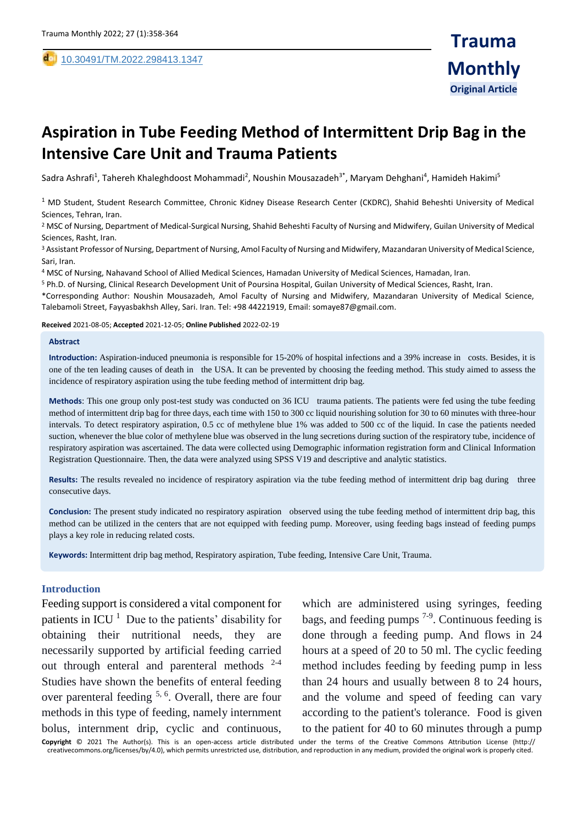,

# **Aspiration in Tube Feeding Method of Intermittent Drip Bag in the Intensive Care Unit and Trauma Patients**

Sadra Ashrafi<sup>1</sup>, Tahereh Khaleghdoost Mohammadi<sup>2</sup>, Noushin Mousazadeh<sup>3\*</sup>, Maryam Dehghani<sup>4</sup>, Hamideh Hakimi<sup>5</sup>

 $1$  MD Student, Student Research Committee, Chronic Kidney Disease Research Center (CKDRC), Shahid Beheshti University of Medical Sciences, Tehran, Iran.

<sup>2</sup> MSC of Nursing, Department of Medical-Surgical Nursing, Shahid Beheshti Faculty of Nursing and Midwifery, Guilan University of Medical Sciences, Rasht, Iran.

<sup>3</sup> Assistant Professor of Nursing, Department of Nursing, Amol Faculty of Nursing and Midwifery, Mazandaran University of Medical Science, Sari, Iran.

<sup>4</sup> MSC of Nursing, Nahavand School of Allied Medical Sciences, Hamadan University of Medical Sciences, Hamadan, Iran.

<sup>5</sup> Ph.D. of Nursing, Clinical Research Development Unit of Poursina Hospital, Guilan University of Medical Sciences, Rasht, Iran.

\*Corresponding Author: Noushin Mousazadeh, Amol Faculty of Nursing and Midwifery, Mazandaran University of Medical Science, Talebamoli Street, Fayyasbakhsh Alley, Sari. Iran. Tel: +98 44221919, Email: somaye87@gmail.com.

**Received** 2021-08-05; **Accepted** 2021-12-05; **Online Published** 2022-02-19

#### **Abstract**

**Introduction:** Aspiration-induced pneumonia is responsible for 15-20% of hospital infections and a 39% increase in costs. Besides, it is one of the ten leading causes of death in the USA. It can be prevented by choosing the feeding method. This study aimed to assess the incidence of respiratory aspiration using the tube feeding method of intermittent drip bag.

**Methods**: This one group only post-test study was conducted on 36 ICU trauma patients. The patients were fed using the tube feeding method of intermittent drip bag for three days, each time with 150 to 300 cc liquid nourishing solution for 30 to 60 minutes with three-hour intervals. To detect respiratory aspiration, 0.5 cc of methylene blue 1% was added to 500 cc of the liquid. In case the patients needed suction, whenever the blue color of methylene blue was observed in the lung secretions during suction of the respiratory tube, incidence of respiratory aspiration was ascertained. The data were collected using Demographic information registration form and Clinical Information Registration Questionnaire. Then, the data were analyzed using SPSS V19 and descriptive and analytic statistics.

**Results:** The results revealed no incidence of respiratory aspiration via the tube feeding method of intermittent drip bag during three consecutive days.

**Conclusion:** The present study indicated no respiratory aspiration observed using the tube feeding method of intermittent drip bag, this method can be utilized in the centers that are not equipped with feeding pump. Moreover, using feeding bags instead of feeding pumps plays a key role in reducing related costs.

**Keywords:** Intermittent drip bag method, Respiratory aspiration, Tube feeding, Intensive Care Unit, Trauma.

### **Introduction**

Feeding support is considered a vital component for patients in ICU $<sup>1</sup>$  $<sup>1</sup>$  $<sup>1</sup>$  Due to the patients' disability for</sup> obtaining their nutritional needs, they are necessarily supported by artificial feeding carried out through enteral and parenteral methods [2-4](#page-5-1) Studies have shown the benefits of enteral feeding over parenteral feeding  $5, 6$  $5, 6$ . Overall, there are four methods in this type of feeding, namely internment bolus, internment drip, cyclic and continuous,

which are administered using syringes, feeding bags, and feeding pumps  $7-9$ . Continuous feeding is done through a feeding pump. And flows in 24 hours at a speed of 20 to 50 ml. The cyclic feeding method includes feeding by feeding pump in less than 24 hours and usually between 8 to 24 hours, and the volume and speed of feeding can vary according to the patient's tolerance. Food is given to the patient for 40 to 60 minutes through a pump

**Copyright** © 2021 The Author(s). This is an open-access article distributed under the terms of the Creative Commons Attribution License (http:// creativecommons.org/licenses/by/4.0), which permits unrestricted use, distribution, and reproduction in any medium, provided the original work is properly cited.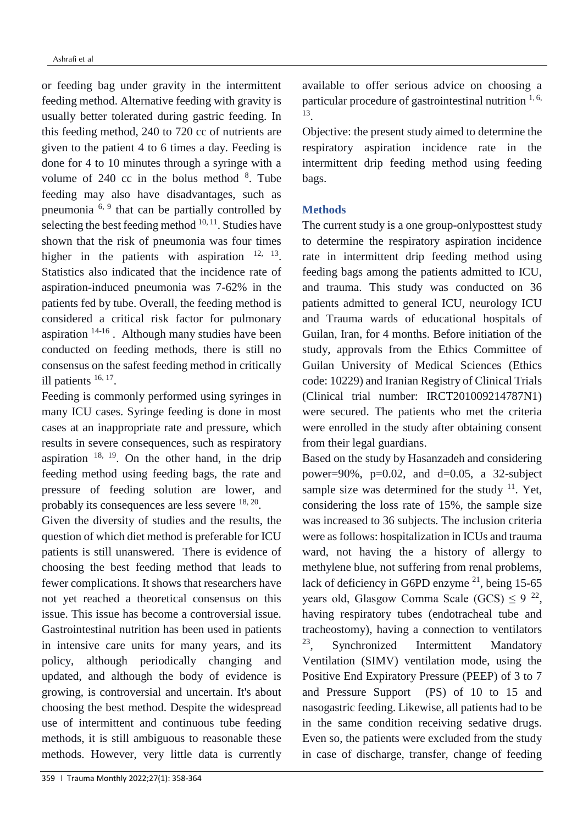or feeding bag under gravity in the intermittent feeding method. Alternative feeding with gravity is usually better tolerated during gastric feeding. In this feeding method, 240 to 720 cc of nutrients are given to the patient 4 to 6 times a day. Feeding is done for 4 to 10 minutes through a syringe with a volume of  $240$  cc in the bolus method  $8$ . Tube feeding may also have disadvantages, such as pneumonia  $6, 9$  $6, 9$  that can be partially controlled by selecting the best feeding method  $10, 11$  $10, 11$ . Studies have shown that the risk of pneumonia was four times higher in the patients with aspiration  $12, 13$  $12, 13$ . Statistics also indicated that the incidence rate of aspiration-induced pneumonia was 7-62% in the patients fed by tube. Overall, the feeding method is considered a critical risk factor for pulmonary aspiration  $14-16$ . Although many studies have been conducted on feeding methods, there is still no consensus on the safest feeding method in critically ill patients  $16, 17$  $16, 17$ .

Feeding is commonly performed using syringes in many ICU cases. Syringe feeding is done in most cases at an inappropriate rate and pressure, which results in severe consequences, such as respiratory aspiration  $18, 19$  $18, 19$ . On the other hand, in the drip feeding method using feeding bags, the rate and pressure of feeding solution are lower, and probably its consequences are less severe <sup>[18,](#page-6-3) [20](#page-6-5)</sup>.

Given the diversity of studies and the results, the question of which diet method is preferable for ICU patients is still unanswered. There is evidence of choosing the best feeding method that leads to fewer complications. It shows that researchers have not yet reached a theoretical consensus on this issue. This issue has become a controversial issue. Gastrointestinal nutrition has been used in patients in intensive care units for many years, and its policy, although periodically changing and updated, and although the body of evidence is growing, is controversial and uncertain. It's about choosing the best method. Despite the widespread use of intermittent and continuous tube feeding methods, it is still ambiguous to reasonable these methods. However, very little data is currently

Objective: the present study aimed to determine the respiratory aspiration incidence rate in the intermittent drip feeding method using feeding bags.

# **Methods**

The current study is a one group-onlyposttest study to determine the respiratory aspiration incidence rate in intermittent drip feeding method using feeding bags among the patients admitted to ICU, and trauma. This study was conducted on 36 patients admitted to general ICU, neurology ICU and Trauma wards of educational hospitals of Guilan, Iran, for 4 months. Before initiation of the study, approvals from the Ethics Committee of Guilan University of Medical Sciences (Ethics code: 10229) and Iranian Registry of Clinical Trials (Clinical trial number: IRCT201009214787N1) were secured. The patients who met the criteria were enrolled in the study after obtaining consent from their legal guardians.

Based on the study by Hasanzadeh and considering power=90%,  $p=0.02$ , and  $d=0.05$ , a 32-subject sample size was determined for the study  $11$ . Yet, considering the loss rate of 15%, the sample size was increased to 36 subjects. The inclusion criteria were as follows: hospitalization in ICUs and trauma ward, not having the a history of allergy to methylene blue, not suffering from renal problems, lack of deficiency in G6PD enzyme  $21$ , being 15-65 years old, Glasgow Comma Scale (GCS)  $\leq 9^{22}$  $\leq 9^{22}$  $\leq 9^{22}$ , having respiratory tubes (endotracheal tube and tracheostomy), having a connection to ventilators [23](#page-6-8) , Synchronized Intermittent Mandatory Ventilation (SIMV) ventilation mode, using the Positive End Expiratory Pressure (PEEP) of 3 to 7 and Pressure Support (PS) of 10 to 15 and nasogastric feeding. Likewise, all patients had to be in the same condition receiving sedative drugs. Even so, the patients were excluded from the study in case of discharge, transfer, change of feeding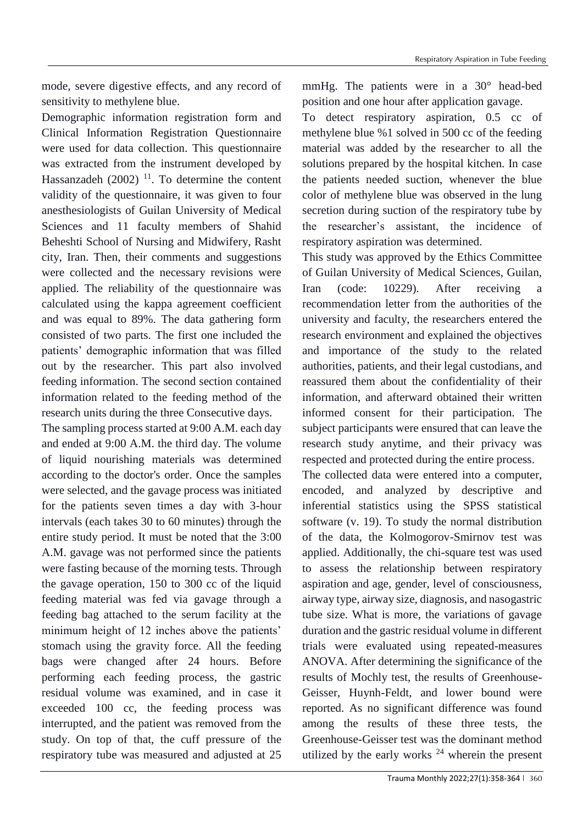mode, severe digestive effects, and any record of sensitivity to methylene blue.

Demographic information registration form and Clinical Information Registration Questionnaire were used for data collection. This questionnaire was extracted from the instrument developed by Hassanzadeh  $(2002)$ <sup>[11](#page-5-8)</sup>. To determine the content validity of the questionnaire, it was given to four anesthesiologists of Guilan University of Medical Sciences and 11 faculty members of Shahid Beheshti School of Nursing and Midwifery, Rasht city, Iran. Then, their comments and suggestions were collected and the necessary revisions were applied. The reliability of the questionnaire was calculated using the kappa agreement coefficient and was equal to 89%. The data gathering form consisted of two parts. The first one included the patients' demographic information that was filled out by the researcher. This part also involved feeding information. The second section contained information related to the feeding method of the research units during the three Consecutive days.

The sampling process started at 9:00 A.M. each day and ended at 9:00 A.M. the third day. The volume of liquid nourishing materials was determined according to the doctor's order. Once the samples were selected, and the gavage process was initiated for the patients seven times a day with 3-hour intervals (each takes 30 to 60 minutes) through the entire study period. It must be noted that the 3:00 A.M. gavage was not performed since the patients were fasting because of the morning tests. Through the gavage operation, 150 to 300 cc of the liquid feeding material was fed via gavage through a feeding bag attached to the serum facility at the minimum height of 12 inches above the patients' stomach using the gravity force. All the feeding bags were changed after 24 hours. Before performing each feeding process, the gastric residual volume was examined, and in case it exceeded 100 cc, the feeding process was interrupted, and the patient was removed from the study. On top of that, the cuff pressure of the respiratory tube was measured and adjusted at 25

mmHg. The patients were in a 30° head-bed position and one hour after application gavage.

To detect respiratory aspiration, 0.5 cc of methylene blue %1 solved in 500 cc of the feeding material was added by the researcher to all the solutions prepared by the hospital kitchen. In case the patients needed suction, whenever the blue color of methylene blue was observed in the lung secretion during suction of the respiratory tube by the researcher's assistant, the incidence of respiratory aspiration was determined.

This study was approved by the Ethics Committee of Guilan University of Medical Sciences, Guilan, Iran (code: 10229). After receiving a recommendation letter from the authorities of the university and faculty, the researchers entered the research environment and explained the objectives and importance of the study to the related authorities, patients, and their legal custodians, and reassured them about the confidentiality of their information, and afterward obtained their written informed consent for their participation. The subject participants were ensured that can leave the research study anytime, and their privacy was respected and protected during the entire process.

The collected data were entered into a computer, encoded, and analyzed by descriptive and inferential statistics using the SPSS statistical software (v. 19). To study the normal distribution of the data, the Kolmogorov-Smirnov test was applied. Additionally, the chi-square test was used to assess the relationship between respiratory aspiration and age, gender, level of consciousness, airway type, airway size, diagnosis, and nasogastric tube size. What is more, the variations of gavage duration and the gastric residual volume in different trials were evaluated using repeated-measures ANOVA. After determining the significance of the results of Mochly test, the results of Greenhouse-Geisser, Huynh-Feldt, and lower bound were reported. As no significant difference was found among the results of these three tests, the Greenhouse-Geisser test was the dominant method utilized by the early works  $24$  wherein the present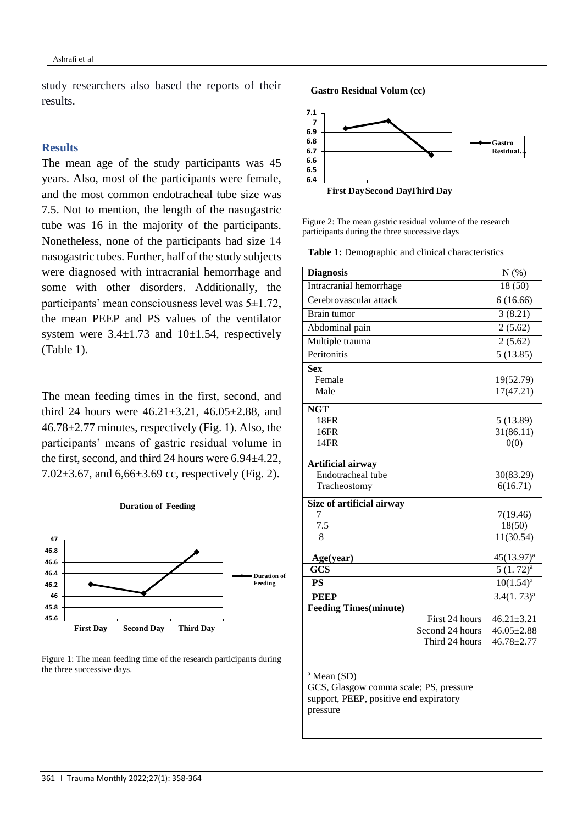study researchers also based the reports of their results.

# **Results**

The mean age of the study participants was 45 years. Also, most of the participants were female, and the most common endotracheal tube size was 7.5. Not to mention, the length of the nasogastric tube was 16 in the majority of the participants. Nonetheless, none of the participants had size 14 nasogastric tubes. Further, half of the study subjects were diagnosed with intracranial hemorrhage and some with other disorders. Additionally, the participants' mean consciousness level was 5±1.72, the mean PEEP and PS values of the ventilator system were  $3.4 \pm 1.73$  and  $10 \pm 1.54$ , respectively (Table 1).

The mean feeding times in the first, second, and third 24 hours were 46.21±3.21, 46.05±2.88, and 46.78±2.77 minutes, respectively (Fig. 1). Also, the participants' means of gastric residual volume in the first, second, and third 24 hours were 6.94±4.22, 7.02±3.67, and 6,66±3.69 cc, respectively (Fig. 2).





**7 7.1**

**Gastro Residual Volum (cc)**



Figure 2: The mean gastric residual volume of the research participants during the three successive days

**Table 1:** Demographic and clinical characteristics

| <b>Diagnosis</b>                       | $N(\%)$          |
|----------------------------------------|------------------|
| Intracranial hemorrhage                | 18(50)           |
| Cerebrovascular attack                 | 6(16.66)         |
| Brain tumor                            | 3(8.21)          |
| Abdominal pain                         | 2(5.62)          |
| Multiple trauma                        | 2(5.62)          |
| Peritonitis                            | 5(13.85)         |
| <b>Sex</b>                             |                  |
| Female                                 | 19(52.79)        |
| Male                                   | 17(47.21)        |
| <b>NGT</b>                             |                  |
| 18FR                                   | 5(13.89)         |
| 16FR                                   | 31(86.11)        |
| 14FR                                   | 0(0)             |
| Artificial airway                      |                  |
| Endotracheal tube                      | 30(83.29)        |
| Tracheostomy                           | 6(16.71)         |
| Size of artificial airway              |                  |
| 7                                      | 7(19.46)         |
| 7.5                                    | 18(50)           |
| 8                                      | 11(30.54)        |
| Age(year)                              | $45(13.97)^a$    |
| <b>GCS</b>                             | $5(1.72)^a$      |
| <b>PS</b>                              | $10(1.54)^a$     |
| <b>PEEP</b>                            | $3.4(1.73)^a$    |
| <b>Feeding Times(minute)</b>           |                  |
| First 24 hours                         | $46.21 \pm 3.21$ |
| Second 24 hours                        | $46.05 \pm 2.88$ |
| Third 24 hours                         | $46.78 \pm 2.77$ |
|                                        |                  |
| <sup>a</sup> Mean (SD)                 |                  |
| GCS, Glasgow comma scale; PS, pressure |                  |
| support, PEEP, positive end expiratory |                  |
| pressure                               |                  |
|                                        |                  |
|                                        |                  |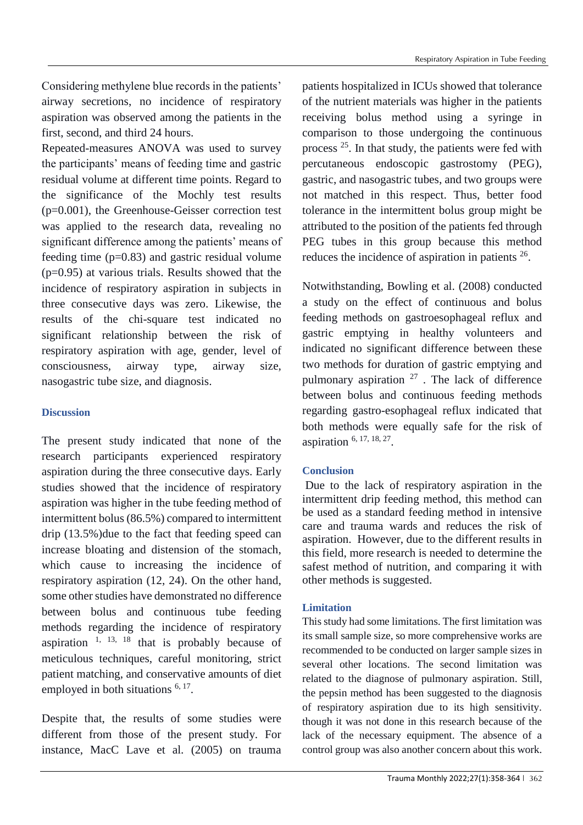Considering methylene blue records in the patients' airway secretions, no incidence of respiratory aspiration was observed among the patients in the first, second, and third 24 hours.

Repeated-measures ANOVA was used to survey the participants' means of feeding time and gastric residual volume at different time points. Regard to the significance of the Mochly test results (p=0.001), the Greenhouse-Geisser correction test was applied to the research data, revealing no significant difference among the patients' means of feeding time  $(p=0.83)$  and gastric residual volume (p=0.95) at various trials. Results showed that the incidence of respiratory aspiration in subjects in three consecutive days was zero. Likewise, the results of the chi-square test indicated no significant relationship between the risk of respiratory aspiration with age, gender, level of consciousness, airway type, airway size, nasogastric tube size, and diagnosis.

# **Discussion**

The present study indicated that none of the research participants experienced respiratory aspiration during the three consecutive days. Early studies showed that the incidence of respiratory aspiration was higher in the tube feeding method of intermittent bolus (86.5%) compared to intermittent drip (13.5%)due to the fact that feeding speed can increase bloating and distension of the stomach, which cause to increasing the incidence of respiratory aspiration (12, 24). On the other hand, some other studies have demonstrated no difference between bolus and continuous tube feeding methods regarding the incidence of respiratory aspiration  $1, 13, 18$  $1, 13, 18$  $1, 13, 18$  that is probably because of meticulous techniques, careful monitoring, strict patient matching, and conservative amounts of diet employed in both situations  $6, 17$  $6, 17$ .

Despite that, the results of some studies were different from those of the present study. For instance, MacC Lave et al. (2005) on trauma patients hospitalized in ICUs showed that tolerance of the nutrient materials was higher in the patients receiving bolus method using a syringe in comparison to those undergoing the continuous process <sup>[25](#page-6-10)</sup>. In that study, the patients were fed with percutaneous endoscopic gastrostomy (PEG), gastric, and nasogastric tubes, and two groups were not matched in this respect. Thus, better food tolerance in the intermittent bolus group might be attributed to the position of the patients fed through PEG tubes in this group because this method reduces the incidence of aspiration in patients <sup>[26](#page-6-11)</sup>.

Notwithstanding, Bowling et al. (2008) conducted a study on the effect of continuous and bolus feeding methods on gastroesophageal reflux and gastric emptying in healthy volunteers and indicated no significant difference between these two methods for duration of gastric emptying and pulmonary aspiration  $27$ . The lack of difference between bolus and continuous feeding methods regarding gastro-esophageal reflux indicated that both methods were equally safe for the risk of aspiration [6,](#page-5-3) [17,](#page-6-2) [18,](#page-6-3) [27](#page-6-12) .

# **Conclusion**

Due to the lack of respiratory aspiration in the intermittent drip feeding method, this method can be used as a standard feeding method in intensive care and trauma wards and reduces the risk of aspiration. However, due to the different results in this field, more research is needed to determine the safest method of nutrition, and comparing it with other methods is suggested.

# **Limitation**

This study had some limitations. The first limitation was its small sample size, so more comprehensive works are recommended to be conducted on larger sample sizes in several other locations. The second limitation was related to the diagnose of pulmonary aspiration. Still, the pepsin method has been suggested to the diagnosis of respiratory aspiration due to its high sensitivity. though it was not done in this research because of the lack of the necessary equipment. The absence of a control group was also another concern about this work.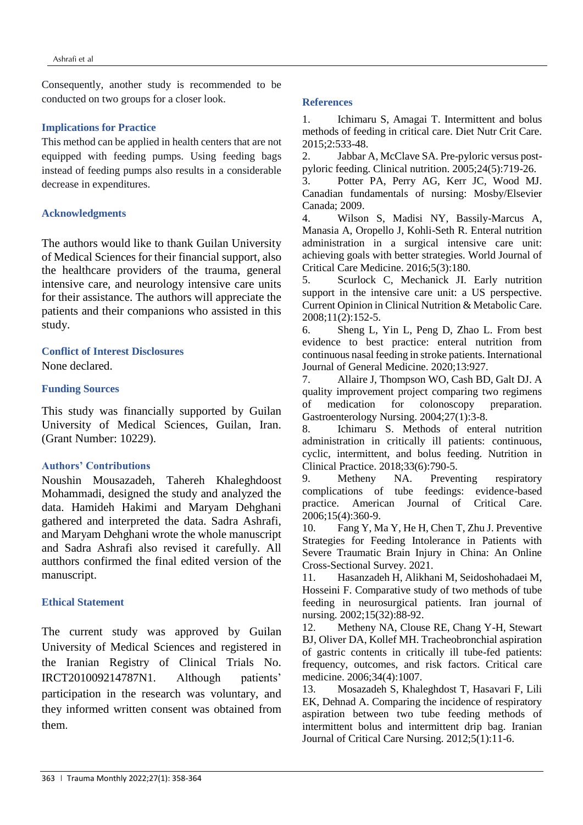Consequently, another study is recommended to be conducted on two groups for a closer look.

## **Implications for Practice**

This method can be applied in health centers that are not equipped with feeding pumps. Using feeding bags instead of feeding pumps also results in a considerable decrease in expenditures.

## **Acknowledgments**

The authors would like to thank Guilan University of Medical Sciences for their financial support, also the healthcare providers of the trauma, general intensive care, and neurology intensive care units for their assistance. The authors will appreciate the patients and their companions who assisted in this study.

## **Conflict of Interest Disclosures**

None declared.

### **Funding Sources**

This study was financially supported by Guilan University of Medical Sciences, Guilan, Iran. (Grant Number: 10229).

## **Authors' Contributions**

Noushin Mousazadeh, Tahereh Khaleghdoost Mohammadi, designed the study and analyzed the data. Hamideh Hakimi and Maryam Dehghani gathered and interpreted the data. Sadra Ashrafi, and Maryam Dehghani wrote the whole manuscript and Sadra Ashrafi also revised it carefully. All autthors confirmed the final edited version of the manuscript.

#### **Ethical Statement**

The current study was approved by Guilan University of Medical Sciences and registered in the Iranian Registry of Clinical Trials No. IRCT201009214787N1. Although patients' participation in the research was voluntary, and they informed written consent was obtained from them.

#### **References**

<span id="page-5-0"></span>1. Ichimaru S, Amagai T. Intermittent and bolus methods of feeding in critical care. Diet Nutr Crit Care. 2015;2:533-48.

<span id="page-5-1"></span>2. Jabbar A, McClave SA. Pre-pyloric versus postpyloric feeding. Clinical nutrition. 2005;24(5):719-26.

3. Potter PA, Perry AG, Kerr JC, Wood MJ. Canadian fundamentals of nursing: Mosby/Elsevier Canada; 2009.

4. Wilson S, Madisi NY, Bassily-Marcus A, Manasia A, Oropello J, Kohli-Seth R. Enteral nutrition administration in a surgical intensive care unit: achieving goals with better strategies. World Journal of Critical Care Medicine. 2016;5(3):180.

<span id="page-5-2"></span>5. Scurlock C, Mechanick JI. Early nutrition support in the intensive care unit: a US perspective. Current Opinion in Clinical Nutrition & Metabolic Care. 2008;11(2):152-5.

<span id="page-5-3"></span>6. Sheng L, Yin L, Peng D, Zhao L. From best evidence to best practice: enteral nutrition from continuous nasal feeding in stroke patients. International Journal of General Medicine. 2020;13:927.

<span id="page-5-4"></span>7. Allaire J, Thompson WO, Cash BD, Galt DJ. A quality improvement project comparing two regimens of medication for colonoscopy preparation. Gastroenterology Nursing. 2004;27(1):3-8.

<span id="page-5-5"></span>8. Ichimaru S. Methods of enteral nutrition administration in critically ill patients: continuous, cyclic, intermittent, and bolus feeding. Nutrition in Clinical Practice. 2018;33(6):790-5.

<span id="page-5-6"></span>9. Metheny NA. Preventing respiratory complications of tube feedings: evidence-based practice. American Journal of Critical Care. 2006;15(4):360-9.

<span id="page-5-7"></span>10. Fang Y, Ma Y, He H, Chen T, Zhu J. Preventive Strategies for Feeding Intolerance in Patients with Severe Traumatic Brain Injury in China: An Online Cross-Sectional Survey. 2021.

<span id="page-5-8"></span>11. Hasanzadeh H, Alikhani M, Seidoshohadaei M, Hosseini F. Comparative study of two methods of tube feeding in neurosurgical patients. Iran journal of nursing. 2002;15(32):88-92.

<span id="page-5-9"></span>12. Metheny NA, Clouse RE, Chang Y-H, Stewart BJ, Oliver DA, Kollef MH. Tracheobronchial aspiration of gastric contents in critically ill tube-fed patients: frequency, outcomes, and risk factors. Critical care medicine. 2006;34(4):1007.

<span id="page-5-10"></span>13. Mosazadeh S, Khaleghdost T, Hasavari F, Lili EK, Dehnad A. Comparing the incidence of respiratory aspiration between two tube feeding methods of intermittent bolus and intermittent drip bag. Iranian Journal of Critical Care Nursing. 2012;5(1):11-6.